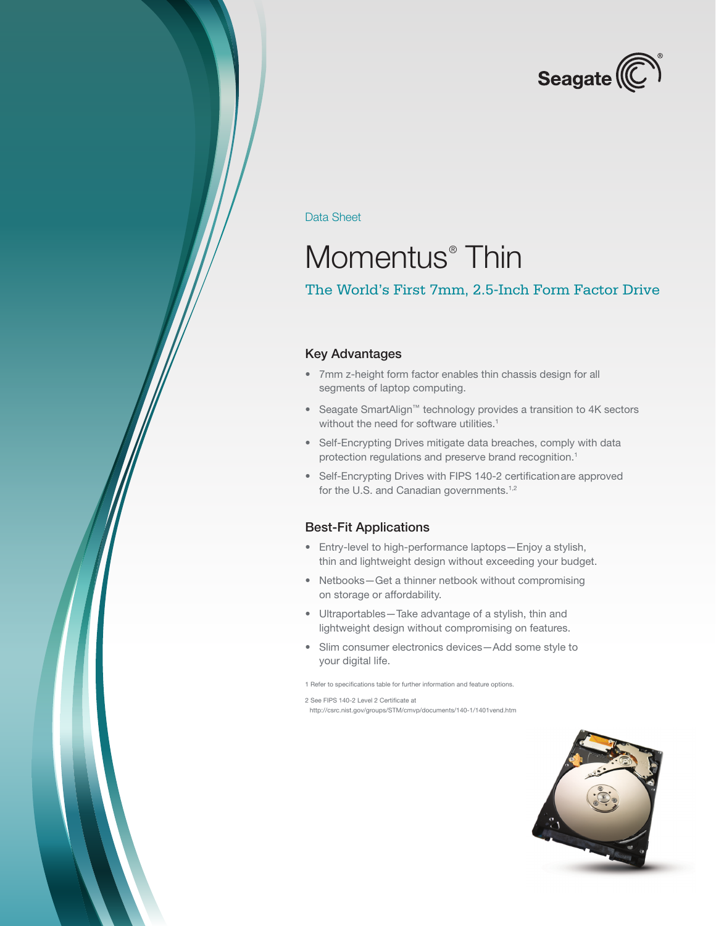

Data Sheet

# Momentus<sup>®</sup> Thin

## The World's First 7mm, 2.5-Inch Form Factor Drive

#### Key Advantages

- • 7mm z-height form factor enables thin chassis design for all segments of laptop computing.
- • Seagate SmartAlign™ technology provides a transition to 4K sectors without the need for software utilities.<sup>1</sup>
- Self-Encrypting Drives mitigate data breaches, comply with data protection regulations and preserve brand recognition.<sup>1</sup>
- Self-Encrypting Drives with FIPS 140-2 certification are approved for the U.S. and Canadian governments.<sup>1,2</sup>

#### Best-Fit Applications

- • Entry-level to high-performance laptops—Enjoy a stylish, thin and lightweight design without exceeding your budget.
- Netbooks-Get a thinner netbook without compromising on storage or affordability.
- Ultraportables Take advantage of a stylish, thin and lightweight design without compromising on features.
- • Slim consumer electronics devices—Add some style to your digital life.

1 Refer to specifications table for further information and feature options.

2 See FIPS 140-2 Level 2 Certificate at

 http://csrc.nist.gov/groups/STM/cmvp/documents/140-1/1401vend.htm